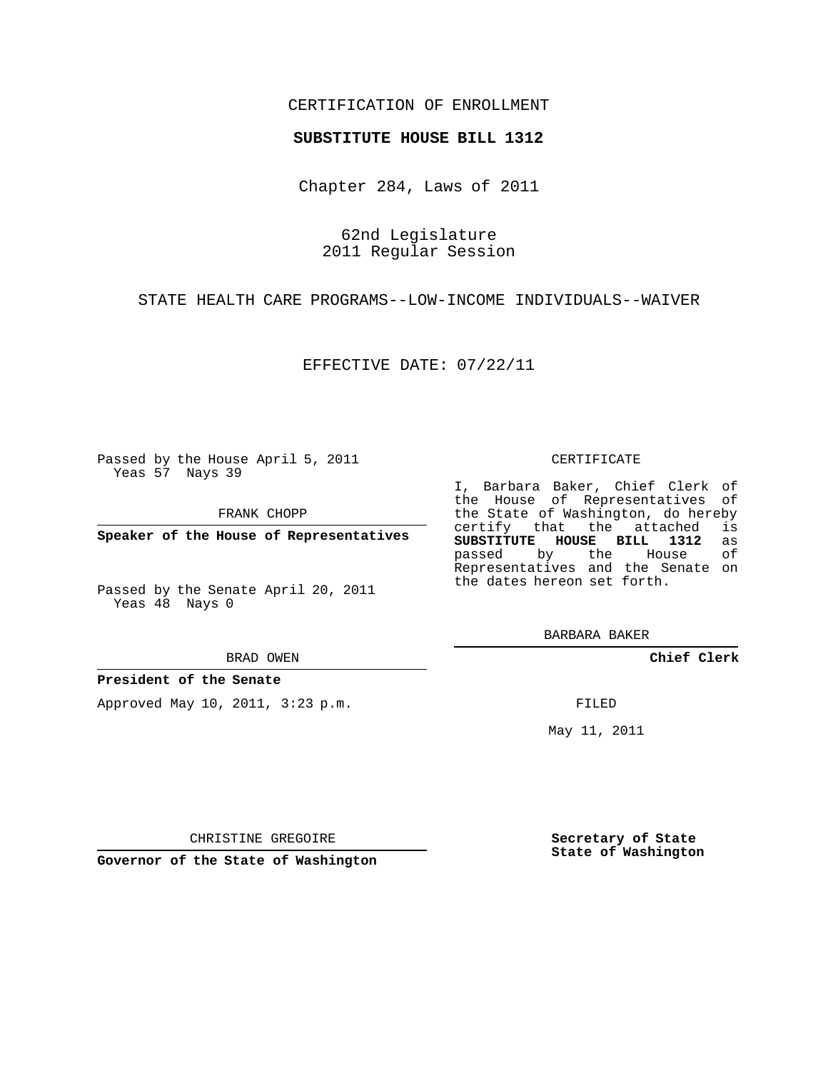## CERTIFICATION OF ENROLLMENT

## **SUBSTITUTE HOUSE BILL 1312**

Chapter 284, Laws of 2011

62nd Legislature 2011 Regular Session

STATE HEALTH CARE PROGRAMS--LOW-INCOME INDIVIDUALS--WAIVER

EFFECTIVE DATE: 07/22/11

Passed by the House April 5, 2011 Yeas 57 Nays 39

FRANK CHOPP

**Speaker of the House of Representatives**

Passed by the Senate April 20, 2011 Yeas 48 Nays 0

BRAD OWEN

**President of the Senate**

Approved May 10, 2011, 3:23 p.m.

## CERTIFICATE

I, Barbara Baker, Chief Clerk of the House of Representatives of the State of Washington, do hereby<br>certify that the attached is certify that the attached is<br>SUBSTITUTE HOUSE BILL 1312 as **SUBSTITUTE HOUSE BILL 1312** as passed by the Representatives and the Senate on the dates hereon set forth.

BARBARA BAKER

**Chief Clerk**

FILED

May 11, 2011

**Secretary of State State of Washington**

CHRISTINE GREGOIRE

**Governor of the State of Washington**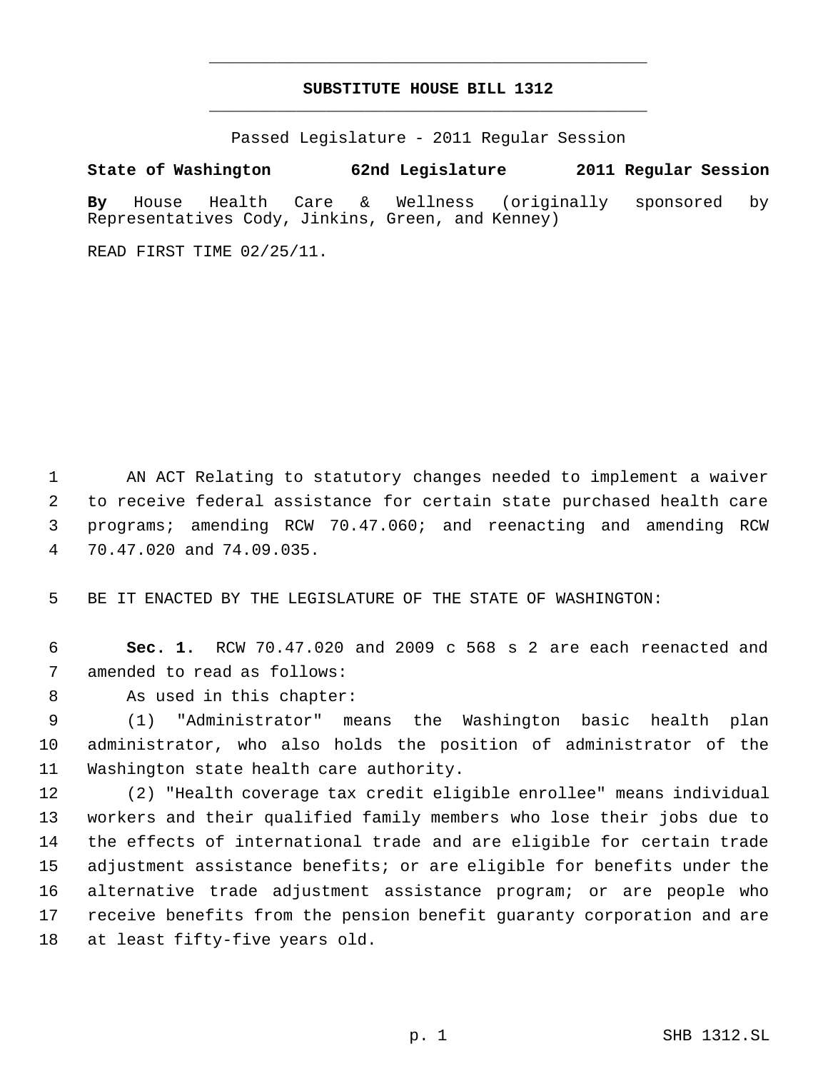## **SUBSTITUTE HOUSE BILL 1312** \_\_\_\_\_\_\_\_\_\_\_\_\_\_\_\_\_\_\_\_\_\_\_\_\_\_\_\_\_\_\_\_\_\_\_\_\_\_\_\_\_\_\_\_\_

\_\_\_\_\_\_\_\_\_\_\_\_\_\_\_\_\_\_\_\_\_\_\_\_\_\_\_\_\_\_\_\_\_\_\_\_\_\_\_\_\_\_\_\_\_

Passed Legislature - 2011 Regular Session

**State of Washington 62nd Legislature 2011 Regular Session**

**By** House Health Care & Wellness (originally sponsored by Representatives Cody, Jinkins, Green, and Kenney)

READ FIRST TIME 02/25/11.

 AN ACT Relating to statutory changes needed to implement a waiver to receive federal assistance for certain state purchased health care programs; amending RCW 70.47.060; and reenacting and amending RCW 70.47.020 and 74.09.035.

BE IT ENACTED BY THE LEGISLATURE OF THE STATE OF WASHINGTON:

 **Sec. 1.** RCW 70.47.020 and 2009 c 568 s 2 are each reenacted and amended to read as follows:

8 As used in this chapter:

 (1) "Administrator" means the Washington basic health plan administrator, who also holds the position of administrator of the Washington state health care authority.

 (2) "Health coverage tax credit eligible enrollee" means individual workers and their qualified family members who lose their jobs due to the effects of international trade and are eligible for certain trade adjustment assistance benefits; or are eligible for benefits under the alternative trade adjustment assistance program; or are people who receive benefits from the pension benefit guaranty corporation and are at least fifty-five years old.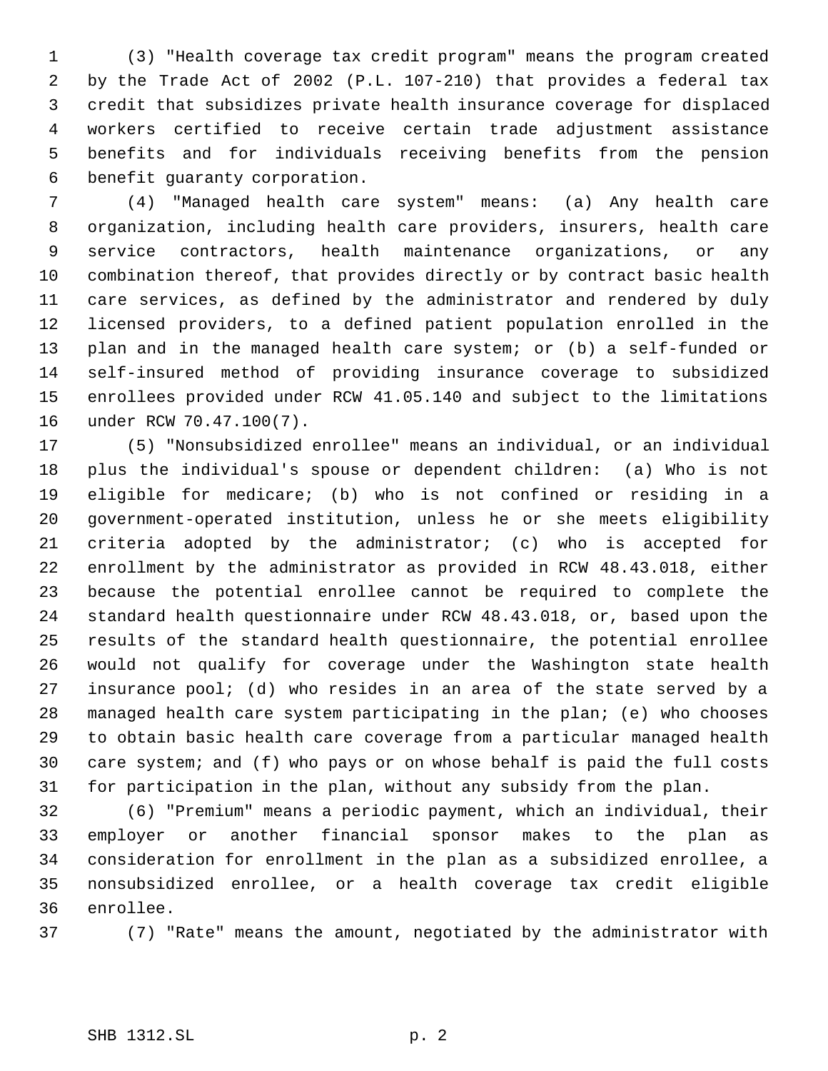(3) "Health coverage tax credit program" means the program created by the Trade Act of 2002 (P.L. 107-210) that provides a federal tax credit that subsidizes private health insurance coverage for displaced workers certified to receive certain trade adjustment assistance benefits and for individuals receiving benefits from the pension benefit guaranty corporation.

 (4) "Managed health care system" means: (a) Any health care organization, including health care providers, insurers, health care service contractors, health maintenance organizations, or any combination thereof, that provides directly or by contract basic health care services, as defined by the administrator and rendered by duly licensed providers, to a defined patient population enrolled in the plan and in the managed health care system; or (b) a self-funded or self-insured method of providing insurance coverage to subsidized enrollees provided under RCW 41.05.140 and subject to the limitations under RCW 70.47.100(7).

 (5) "Nonsubsidized enrollee" means an individual, or an individual plus the individual's spouse or dependent children: (a) Who is not eligible for medicare; (b) who is not confined or residing in a government-operated institution, unless he or she meets eligibility criteria adopted by the administrator; (c) who is accepted for enrollment by the administrator as provided in RCW 48.43.018, either because the potential enrollee cannot be required to complete the standard health questionnaire under RCW 48.43.018, or, based upon the results of the standard health questionnaire, the potential enrollee would not qualify for coverage under the Washington state health insurance pool; (d) who resides in an area of the state served by a managed health care system participating in the plan; (e) who chooses to obtain basic health care coverage from a particular managed health care system; and (f) who pays or on whose behalf is paid the full costs for participation in the plan, without any subsidy from the plan.

 (6) "Premium" means a periodic payment, which an individual, their employer or another financial sponsor makes to the plan as consideration for enrollment in the plan as a subsidized enrollee, a nonsubsidized enrollee, or a health coverage tax credit eligible enrollee.

(7) "Rate" means the amount, negotiated by the administrator with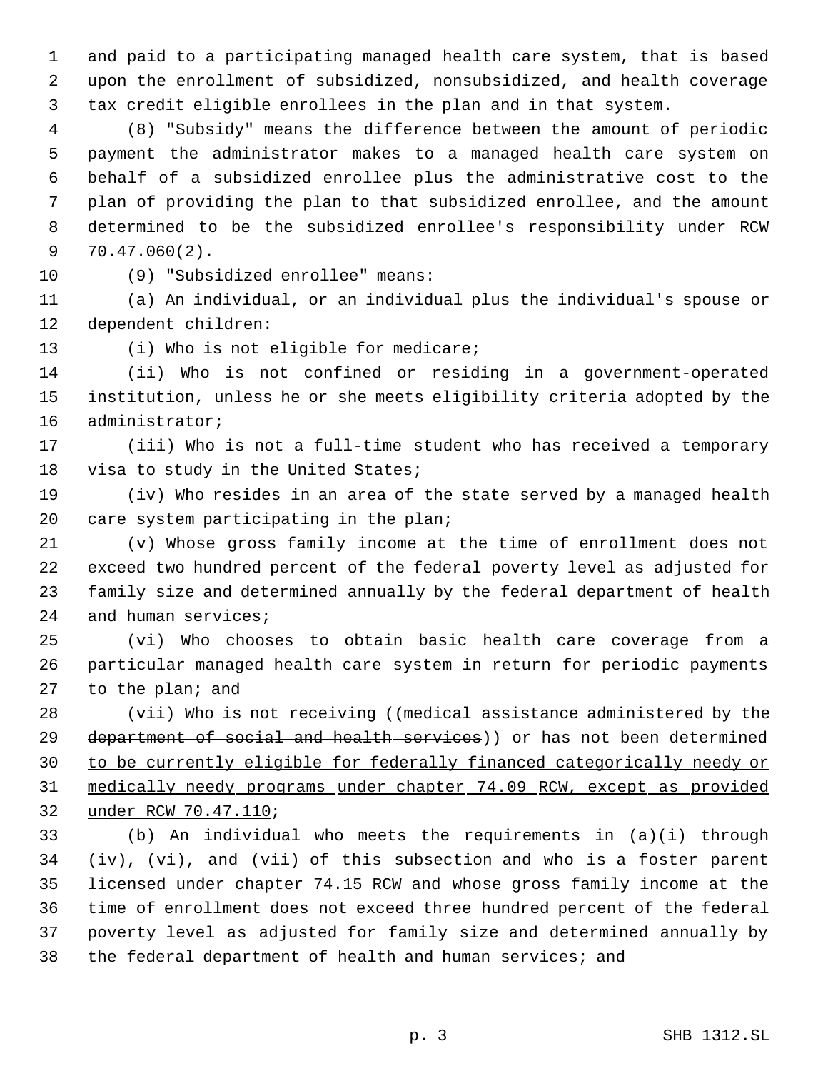and paid to a participating managed health care system, that is based upon the enrollment of subsidized, nonsubsidized, and health coverage tax credit eligible enrollees in the plan and in that system.

 (8) "Subsidy" means the difference between the amount of periodic payment the administrator makes to a managed health care system on behalf of a subsidized enrollee plus the administrative cost to the plan of providing the plan to that subsidized enrollee, and the amount determined to be the subsidized enrollee's responsibility under RCW 70.47.060(2).

(9) "Subsidized enrollee" means:

 (a) An individual, or an individual plus the individual's spouse or dependent children:

13 (i) Who is not eligible for medicare;

 (ii) Who is not confined or residing in a government-operated institution, unless he or she meets eligibility criteria adopted by the administrator;

 (iii) Who is not a full-time student who has received a temporary visa to study in the United States;

 (iv) Who resides in an area of the state served by a managed health care system participating in the plan;

 (v) Whose gross family income at the time of enrollment does not exceed two hundred percent of the federal poverty level as adjusted for family size and determined annually by the federal department of health and human services;

 (vi) Who chooses to obtain basic health care coverage from a particular managed health care system in return for periodic payments to the plan; and

28 (vii) Who is not receiving ((medical assistance administered by the 29 department of social and health services)) or has not been determined to be currently eligible for federally financed categorically needy or medically needy programs under chapter 74.09 RCW, except as provided under RCW 70.47.110;

 (b) An individual who meets the requirements in (a)(i) through (iv), (vi), and (vii) of this subsection and who is a foster parent licensed under chapter 74.15 RCW and whose gross family income at the time of enrollment does not exceed three hundred percent of the federal poverty level as adjusted for family size and determined annually by the federal department of health and human services; and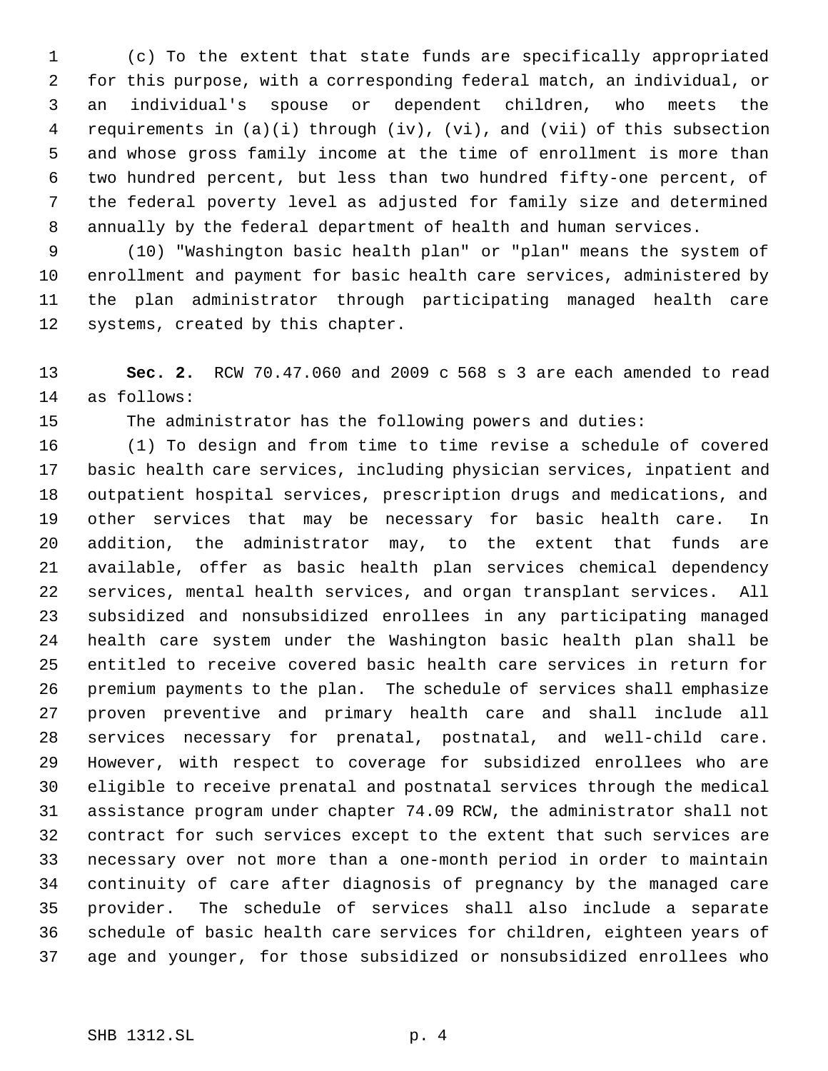(c) To the extent that state funds are specifically appropriated for this purpose, with a corresponding federal match, an individual, or an individual's spouse or dependent children, who meets the requirements in (a)(i) through (iv), (vi), and (vii) of this subsection and whose gross family income at the time of enrollment is more than two hundred percent, but less than two hundred fifty-one percent, of the federal poverty level as adjusted for family size and determined annually by the federal department of health and human services.

 (10) "Washington basic health plan" or "plan" means the system of enrollment and payment for basic health care services, administered by the plan administrator through participating managed health care systems, created by this chapter.

 **Sec. 2.** RCW 70.47.060 and 2009 c 568 s 3 are each amended to read as follows:

The administrator has the following powers and duties:

 (1) To design and from time to time revise a schedule of covered basic health care services, including physician services, inpatient and outpatient hospital services, prescription drugs and medications, and other services that may be necessary for basic health care. In addition, the administrator may, to the extent that funds are available, offer as basic health plan services chemical dependency services, mental health services, and organ transplant services. All subsidized and nonsubsidized enrollees in any participating managed health care system under the Washington basic health plan shall be entitled to receive covered basic health care services in return for premium payments to the plan. The schedule of services shall emphasize proven preventive and primary health care and shall include all services necessary for prenatal, postnatal, and well-child care. However, with respect to coverage for subsidized enrollees who are eligible to receive prenatal and postnatal services through the medical assistance program under chapter 74.09 RCW, the administrator shall not contract for such services except to the extent that such services are necessary over not more than a one-month period in order to maintain continuity of care after diagnosis of pregnancy by the managed care provider. The schedule of services shall also include a separate schedule of basic health care services for children, eighteen years of age and younger, for those subsidized or nonsubsidized enrollees who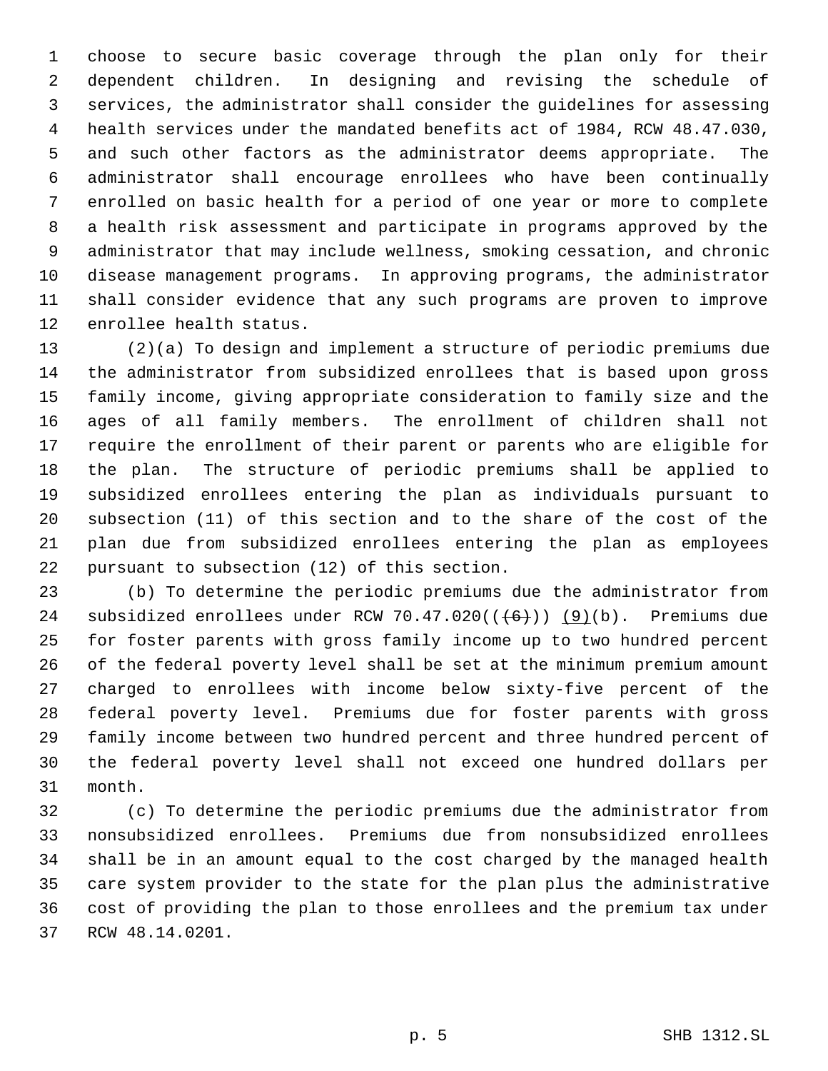choose to secure basic coverage through the plan only for their dependent children. In designing and revising the schedule of services, the administrator shall consider the guidelines for assessing health services under the mandated benefits act of 1984, RCW 48.47.030, and such other factors as the administrator deems appropriate. The administrator shall encourage enrollees who have been continually enrolled on basic health for a period of one year or more to complete a health risk assessment and participate in programs approved by the administrator that may include wellness, smoking cessation, and chronic disease management programs. In approving programs, the administrator shall consider evidence that any such programs are proven to improve enrollee health status.

 (2)(a) To design and implement a structure of periodic premiums due the administrator from subsidized enrollees that is based upon gross family income, giving appropriate consideration to family size and the ages of all family members. The enrollment of children shall not require the enrollment of their parent or parents who are eligible for the plan. The structure of periodic premiums shall be applied to subsidized enrollees entering the plan as individuals pursuant to subsection (11) of this section and to the share of the cost of the plan due from subsidized enrollees entering the plan as employees pursuant to subsection (12) of this section.

 (b) To determine the periodic premiums due the administrator from 24 subsidized enrollees under RCW 70.47.020( $(\frac{6}{10})$ ) (9)(b). Premiums due for foster parents with gross family income up to two hundred percent of the federal poverty level shall be set at the minimum premium amount charged to enrollees with income below sixty-five percent of the federal poverty level. Premiums due for foster parents with gross family income between two hundred percent and three hundred percent of the federal poverty level shall not exceed one hundred dollars per month.

 (c) To determine the periodic premiums due the administrator from nonsubsidized enrollees. Premiums due from nonsubsidized enrollees shall be in an amount equal to the cost charged by the managed health care system provider to the state for the plan plus the administrative cost of providing the plan to those enrollees and the premium tax under RCW 48.14.0201.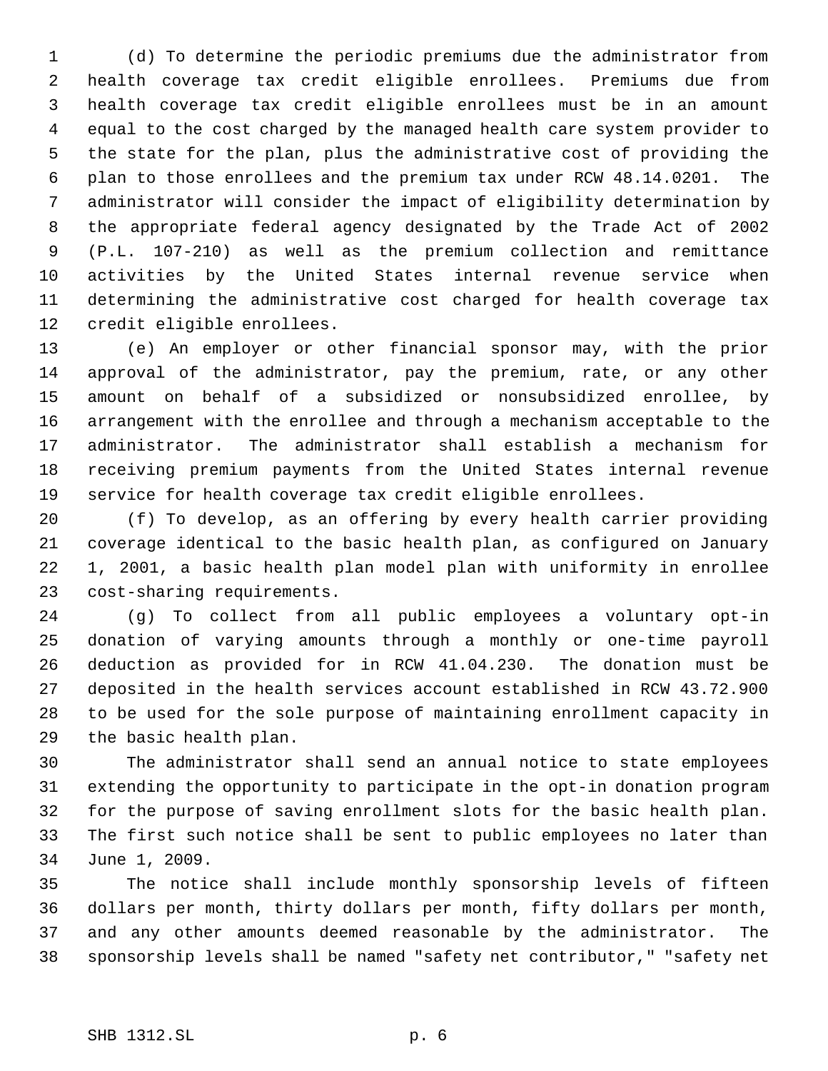(d) To determine the periodic premiums due the administrator from health coverage tax credit eligible enrollees. Premiums due from health coverage tax credit eligible enrollees must be in an amount equal to the cost charged by the managed health care system provider to the state for the plan, plus the administrative cost of providing the plan to those enrollees and the premium tax under RCW 48.14.0201. The administrator will consider the impact of eligibility determination by the appropriate federal agency designated by the Trade Act of 2002 (P.L. 107-210) as well as the premium collection and remittance activities by the United States internal revenue service when determining the administrative cost charged for health coverage tax credit eligible enrollees.

 (e) An employer or other financial sponsor may, with the prior approval of the administrator, pay the premium, rate, or any other amount on behalf of a subsidized or nonsubsidized enrollee, by arrangement with the enrollee and through a mechanism acceptable to the administrator. The administrator shall establish a mechanism for receiving premium payments from the United States internal revenue service for health coverage tax credit eligible enrollees.

 (f) To develop, as an offering by every health carrier providing coverage identical to the basic health plan, as configured on January 1, 2001, a basic health plan model plan with uniformity in enrollee cost-sharing requirements.

 (g) To collect from all public employees a voluntary opt-in donation of varying amounts through a monthly or one-time payroll deduction as provided for in RCW 41.04.230. The donation must be deposited in the health services account established in RCW 43.72.900 to be used for the sole purpose of maintaining enrollment capacity in the basic health plan.

 The administrator shall send an annual notice to state employees extending the opportunity to participate in the opt-in donation program for the purpose of saving enrollment slots for the basic health plan. The first such notice shall be sent to public employees no later than June 1, 2009.

 The notice shall include monthly sponsorship levels of fifteen dollars per month, thirty dollars per month, fifty dollars per month, and any other amounts deemed reasonable by the administrator. The sponsorship levels shall be named "safety net contributor," "safety net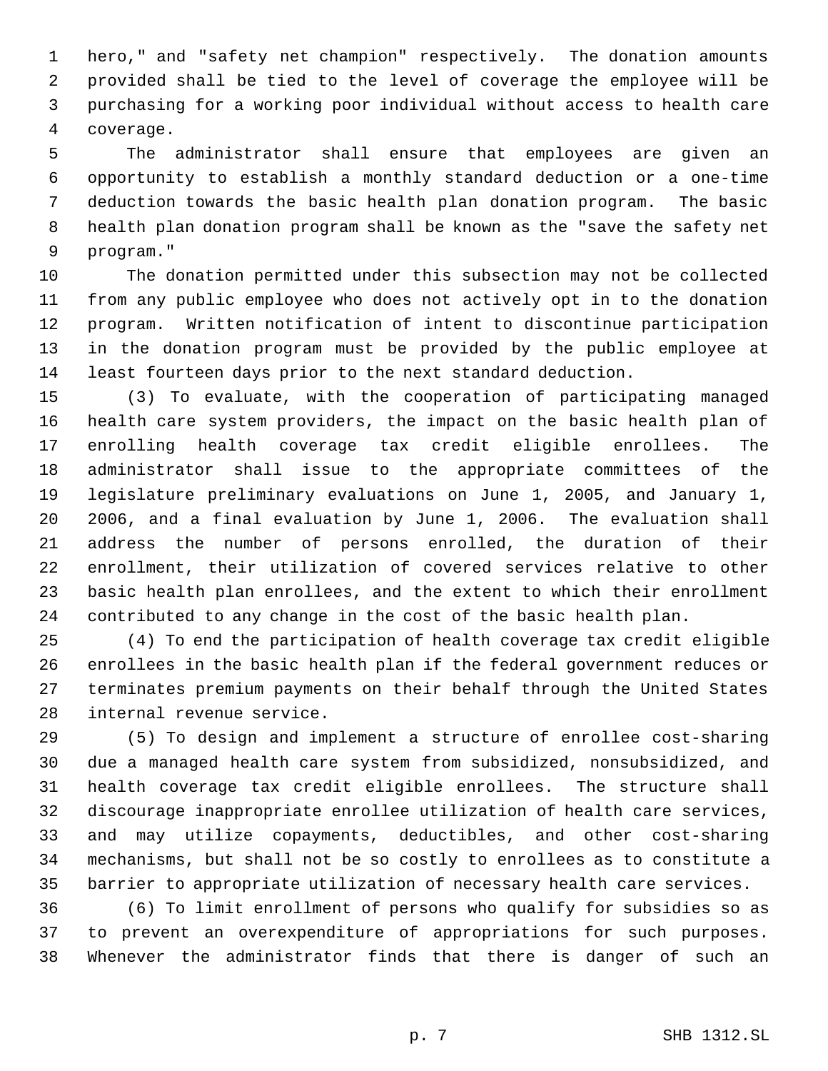hero," and "safety net champion" respectively. The donation amounts provided shall be tied to the level of coverage the employee will be purchasing for a working poor individual without access to health care coverage.

 The administrator shall ensure that employees are given an opportunity to establish a monthly standard deduction or a one-time deduction towards the basic health plan donation program. The basic health plan donation program shall be known as the "save the safety net program."

 The donation permitted under this subsection may not be collected from any public employee who does not actively opt in to the donation program. Written notification of intent to discontinue participation in the donation program must be provided by the public employee at least fourteen days prior to the next standard deduction.

 (3) To evaluate, with the cooperation of participating managed health care system providers, the impact on the basic health plan of enrolling health coverage tax credit eligible enrollees. The administrator shall issue to the appropriate committees of the legislature preliminary evaluations on June 1, 2005, and January 1, 2006, and a final evaluation by June 1, 2006. The evaluation shall address the number of persons enrolled, the duration of their enrollment, their utilization of covered services relative to other basic health plan enrollees, and the extent to which their enrollment contributed to any change in the cost of the basic health plan.

 (4) To end the participation of health coverage tax credit eligible enrollees in the basic health plan if the federal government reduces or terminates premium payments on their behalf through the United States internal revenue service.

 (5) To design and implement a structure of enrollee cost-sharing due a managed health care system from subsidized, nonsubsidized, and health coverage tax credit eligible enrollees. The structure shall discourage inappropriate enrollee utilization of health care services, and may utilize copayments, deductibles, and other cost-sharing mechanisms, but shall not be so costly to enrollees as to constitute a barrier to appropriate utilization of necessary health care services.

 (6) To limit enrollment of persons who qualify for subsidies so as to prevent an overexpenditure of appropriations for such purposes. Whenever the administrator finds that there is danger of such an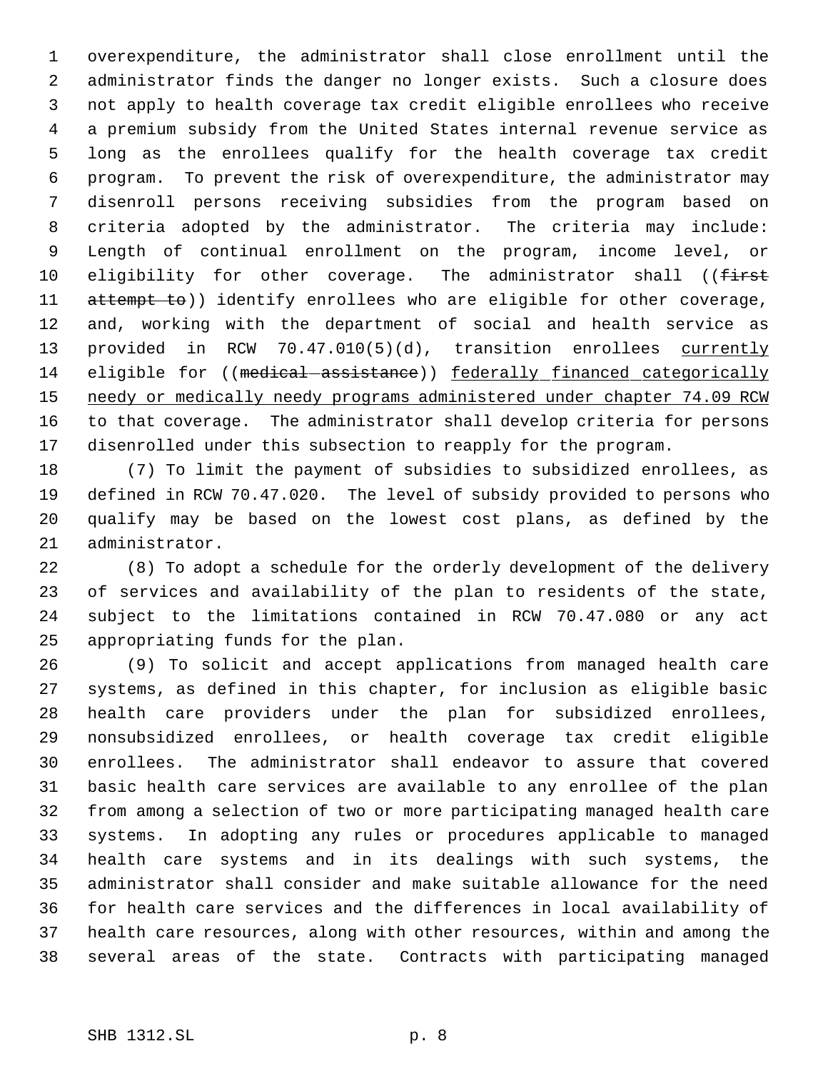overexpenditure, the administrator shall close enrollment until the administrator finds the danger no longer exists. Such a closure does not apply to health coverage tax credit eligible enrollees who receive a premium subsidy from the United States internal revenue service as long as the enrollees qualify for the health coverage tax credit program. To prevent the risk of overexpenditure, the administrator may disenroll persons receiving subsidies from the program based on criteria adopted by the administrator. The criteria may include: Length of continual enrollment on the program, income level, or 10 eligibility for other coverage. The administrator shall ((first 11 attempt to)) identify enrollees who are eligible for other coverage, and, working with the department of social and health service as 13 provided in RCW 70.47.010(5)(d), transition enrollees currently 14 eligible for ((medical-assistance)) federally financed categorically 15 needy or medically needy programs administered under chapter 74.09 RCW to that coverage. The administrator shall develop criteria for persons disenrolled under this subsection to reapply for the program.

 (7) To limit the payment of subsidies to subsidized enrollees, as defined in RCW 70.47.020. The level of subsidy provided to persons who qualify may be based on the lowest cost plans, as defined by the administrator.

 (8) To adopt a schedule for the orderly development of the delivery of services and availability of the plan to residents of the state, subject to the limitations contained in RCW 70.47.080 or any act appropriating funds for the plan.

 (9) To solicit and accept applications from managed health care systems, as defined in this chapter, for inclusion as eligible basic health care providers under the plan for subsidized enrollees, nonsubsidized enrollees, or health coverage tax credit eligible enrollees. The administrator shall endeavor to assure that covered basic health care services are available to any enrollee of the plan from among a selection of two or more participating managed health care systems. In adopting any rules or procedures applicable to managed health care systems and in its dealings with such systems, the administrator shall consider and make suitable allowance for the need for health care services and the differences in local availability of health care resources, along with other resources, within and among the several areas of the state. Contracts with participating managed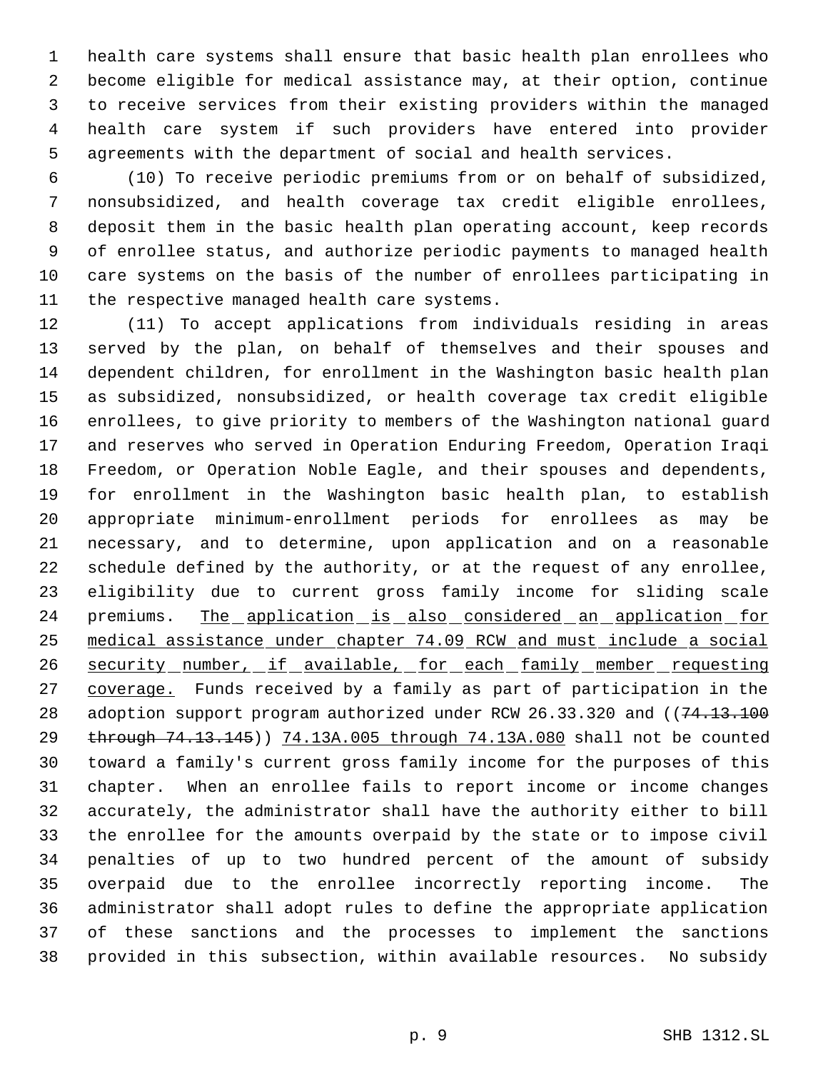health care systems shall ensure that basic health plan enrollees who become eligible for medical assistance may, at their option, continue to receive services from their existing providers within the managed health care system if such providers have entered into provider agreements with the department of social and health services.

 (10) To receive periodic premiums from or on behalf of subsidized, nonsubsidized, and health coverage tax credit eligible enrollees, deposit them in the basic health plan operating account, keep records of enrollee status, and authorize periodic payments to managed health care systems on the basis of the number of enrollees participating in the respective managed health care systems.

 (11) To accept applications from individuals residing in areas served by the plan, on behalf of themselves and their spouses and dependent children, for enrollment in the Washington basic health plan as subsidized, nonsubsidized, or health coverage tax credit eligible enrollees, to give priority to members of the Washington national guard and reserves who served in Operation Enduring Freedom, Operation Iraqi Freedom, or Operation Noble Eagle, and their spouses and dependents, for enrollment in the Washington basic health plan, to establish appropriate minimum-enrollment periods for enrollees as may be necessary, and to determine, upon application and on a reasonable schedule defined by the authority, or at the request of any enrollee, eligibility due to current gross family income for sliding scale 24 premiums. The application is also considered an application for medical assistance under chapter 74.09 RCW and must include a social 26 security number, if available, for each family member requesting coverage. Funds received by a family as part of participation in the 28 adoption support program authorized under RCW 26.33.320 and ((74.13.100 29 through 74.13.145) 74.13A.005 through 74.13A.080 shall not be counted toward a family's current gross family income for the purposes of this chapter. When an enrollee fails to report income or income changes accurately, the administrator shall have the authority either to bill the enrollee for the amounts overpaid by the state or to impose civil penalties of up to two hundred percent of the amount of subsidy overpaid due to the enrollee incorrectly reporting income. The administrator shall adopt rules to define the appropriate application of these sanctions and the processes to implement the sanctions provided in this subsection, within available resources. No subsidy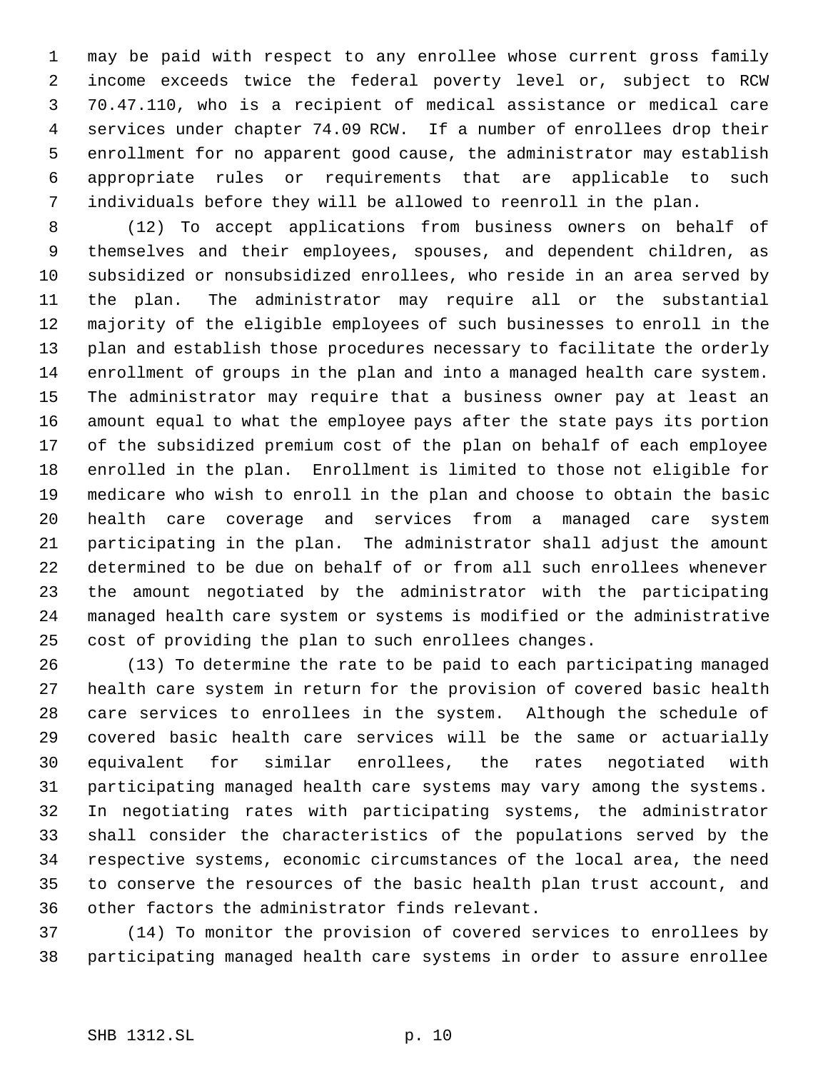may be paid with respect to any enrollee whose current gross family income exceeds twice the federal poverty level or, subject to RCW 70.47.110, who is a recipient of medical assistance or medical care services under chapter 74.09 RCW. If a number of enrollees drop their enrollment for no apparent good cause, the administrator may establish appropriate rules or requirements that are applicable to such individuals before they will be allowed to reenroll in the plan.

 (12) To accept applications from business owners on behalf of themselves and their employees, spouses, and dependent children, as subsidized or nonsubsidized enrollees, who reside in an area served by the plan. The administrator may require all or the substantial majority of the eligible employees of such businesses to enroll in the plan and establish those procedures necessary to facilitate the orderly enrollment of groups in the plan and into a managed health care system. The administrator may require that a business owner pay at least an amount equal to what the employee pays after the state pays its portion of the subsidized premium cost of the plan on behalf of each employee enrolled in the plan. Enrollment is limited to those not eligible for medicare who wish to enroll in the plan and choose to obtain the basic health care coverage and services from a managed care system participating in the plan. The administrator shall adjust the amount determined to be due on behalf of or from all such enrollees whenever the amount negotiated by the administrator with the participating managed health care system or systems is modified or the administrative cost of providing the plan to such enrollees changes.

 (13) To determine the rate to be paid to each participating managed health care system in return for the provision of covered basic health care services to enrollees in the system. Although the schedule of covered basic health care services will be the same or actuarially equivalent for similar enrollees, the rates negotiated with participating managed health care systems may vary among the systems. In negotiating rates with participating systems, the administrator shall consider the characteristics of the populations served by the respective systems, economic circumstances of the local area, the need to conserve the resources of the basic health plan trust account, and other factors the administrator finds relevant.

 (14) To monitor the provision of covered services to enrollees by participating managed health care systems in order to assure enrollee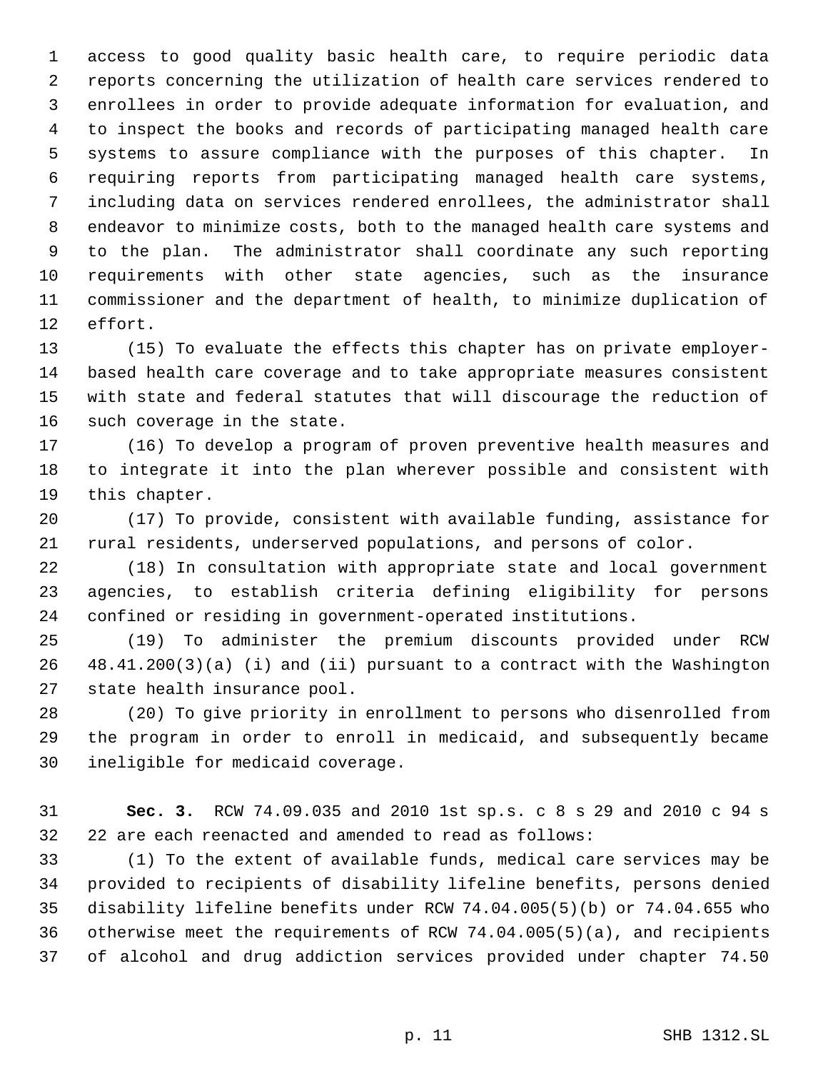access to good quality basic health care, to require periodic data reports concerning the utilization of health care services rendered to enrollees in order to provide adequate information for evaluation, and to inspect the books and records of participating managed health care systems to assure compliance with the purposes of this chapter. In requiring reports from participating managed health care systems, including data on services rendered enrollees, the administrator shall endeavor to minimize costs, both to the managed health care systems and to the plan. The administrator shall coordinate any such reporting requirements with other state agencies, such as the insurance commissioner and the department of health, to minimize duplication of effort.

 (15) To evaluate the effects this chapter has on private employer- based health care coverage and to take appropriate measures consistent with state and federal statutes that will discourage the reduction of such coverage in the state.

 (16) To develop a program of proven preventive health measures and to integrate it into the plan wherever possible and consistent with this chapter.

 (17) To provide, consistent with available funding, assistance for rural residents, underserved populations, and persons of color.

 (18) In consultation with appropriate state and local government agencies, to establish criteria defining eligibility for persons confined or residing in government-operated institutions.

 (19) To administer the premium discounts provided under RCW 48.41.200(3)(a) (i) and (ii) pursuant to a contract with the Washington state health insurance pool.

 (20) To give priority in enrollment to persons who disenrolled from the program in order to enroll in medicaid, and subsequently became ineligible for medicaid coverage.

 **Sec. 3.** RCW 74.09.035 and 2010 1st sp.s. c 8 s 29 and 2010 c 94 s 22 are each reenacted and amended to read as follows:

 (1) To the extent of available funds, medical care services may be provided to recipients of disability lifeline benefits, persons denied disability lifeline benefits under RCW 74.04.005(5)(b) or 74.04.655 who otherwise meet the requirements of RCW 74.04.005(5)(a), and recipients of alcohol and drug addiction services provided under chapter 74.50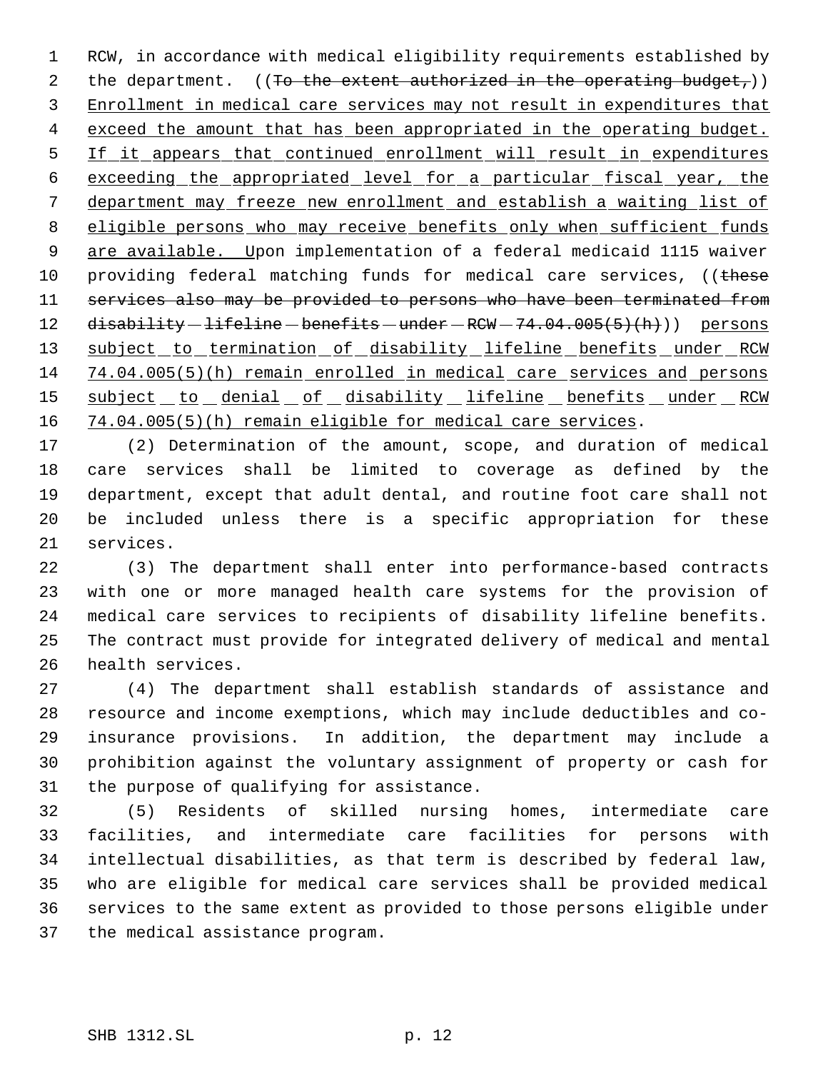RCW, in accordance with medical eligibility requirements established by 2 the department.  $((To the extent authorized in the operating budget_))$ 3 Enrollment in medical care services may not result in expenditures that 4 exceed the amount that has been appropriated in the operating budget. 5 If it appears that continued enrollment will result in expenditures exceeding the appropriated level for a particular fiscal year, the department may freeze new enrollment and establish a waiting list of eligible persons who may receive benefits only when sufficient funds are available. Upon implementation of a federal medicaid 1115 waiver 10 providing federal matching funds for medical care services, ((these services also may be provided to persons who have been terminated from 12 disability - lifeline - benefits - under - RCW - 74.04.005(5)(h))) persons 13 subject to termination of disability lifeline benefits under RCW 74.04.005(5)(h) remain enrolled in medical care services and persons 15 subject to denial of disability lifeline benefits under RCW 74.04.005(5)(h) remain eligible for medical care services.

 (2) Determination of the amount, scope, and duration of medical care services shall be limited to coverage as defined by the department, except that adult dental, and routine foot care shall not be included unless there is a specific appropriation for these services.

 (3) The department shall enter into performance-based contracts with one or more managed health care systems for the provision of medical care services to recipients of disability lifeline benefits. The contract must provide for integrated delivery of medical and mental health services.

 (4) The department shall establish standards of assistance and resource and income exemptions, which may include deductibles and co- insurance provisions. In addition, the department may include a prohibition against the voluntary assignment of property or cash for the purpose of qualifying for assistance.

 (5) Residents of skilled nursing homes, intermediate care facilities, and intermediate care facilities for persons with intellectual disabilities, as that term is described by federal law, who are eligible for medical care services shall be provided medical services to the same extent as provided to those persons eligible under the medical assistance program.